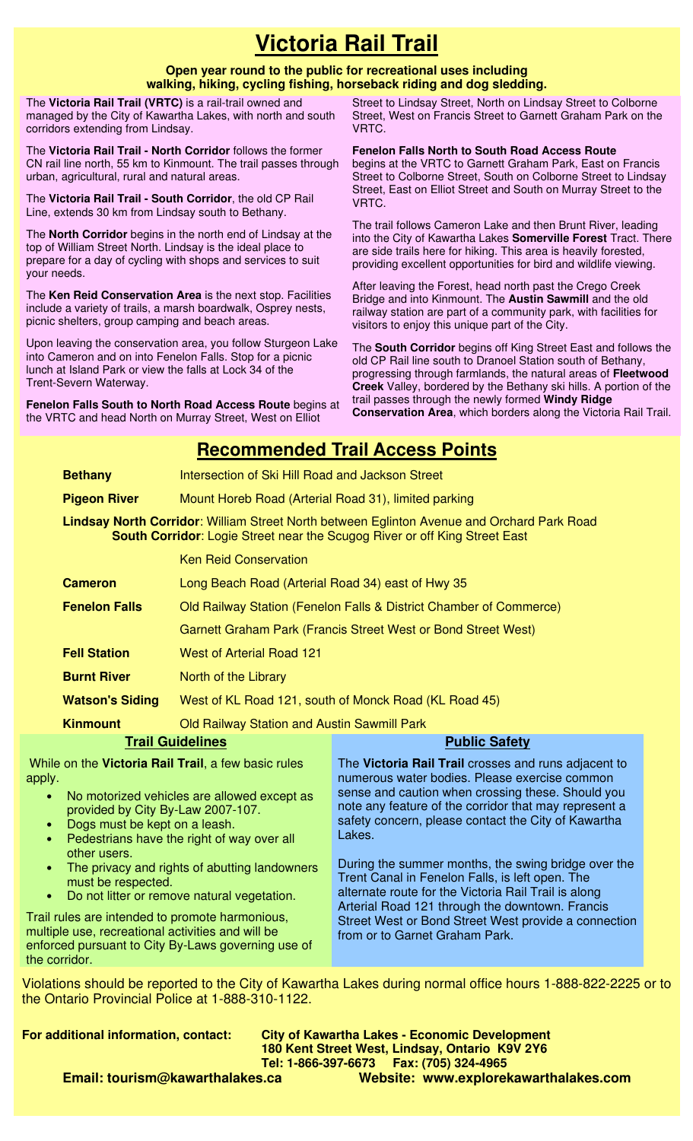## **Victoria Rail Trail**

## **Open year round to the public for recreational uses including walking, hiking, cycling fishing, horseback riding and dog sledding.**

The **Victoria Rail Trail (VRTC)** is a rail-trail owned and managed by the City of Kawartha Lakes, with north and south corridors extending from Lindsay.

The **Victoria Rail Trail - North Corridor** follows the former CN rail line north, 55 km to Kinmount. The trail passes through urban, agricultural, rural and natural areas.

The **Victoria Rail Trail - South Corridor**, the old CP Rail Line, extends 30 km from Lindsay south to Bethany.

The **North Corridor** begins in the north end of Lindsay at the top of William Street North. Lindsay is the ideal place to prepare for a day of cycling with shops and services to suit your needs.

The **Ken Reid Conservation Area** is the next stop. Facilities include a variety of trails, a marsh boardwalk, Osprey nests, picnic shelters, group camping and beach areas.

Upon leaving the conservation area, you follow Sturgeon Lake into Cameron and on into Fenelon Falls. Stop for a picnic lunch at Island Park or view the falls at Lock 34 of the Trent-Severn Waterway.

**Fenelon Falls South to North Road Access Route** begins at the VRTC and head North on Murray Street, West on Elliot

Street to Lindsay Street, North on Lindsay Street to Colborne Street, West on Francis Street to Garnett Graham Park on the VRTC.

## **Fenelon Falls North to South Road Access Route**

begins at the VRTC to Garnett Graham Park, East on Francis Street to Colborne Street, South on Colborne Street to Lindsay Street, East on Elliot Street and South on Murray Street to the VRTC.

The trail follows Cameron Lake and then Brunt River, leading into the City of Kawartha Lakes **Somerville Forest** Tract. There are side trails here for hiking. This area is heavily forested, providing excellent opportunities for bird and wildlife viewing.

After leaving the Forest, head north past the Crego Creek Bridge and into Kinmount. The **Austin Sawmill** and the old railway station are part of a community park, with facilities for visitors to enjoy this unique part of the City.

The **South Corridor** begins off King Street East and follows the old CP Rail line south to Dranoel Station south of Bethany, progressing through farmlands, the natural areas of **Fleetwood Creek** Valley, bordered by the Bethany ski hills. A portion of the trail passes through the newly formed **Windy Ridge Conservation Area**, which borders along the Victoria Rail Trail.

## **Recommended Trail Access Points**

| <b>Bethany</b>                                                                                                                                                                                                                                                                                                                                                                                                                                                                                                                                                                                                         | Intersection of Ski Hill Road and Jackson Street                   |                                                                                                                                                                                                                                                                                                                                                                                                                                                                                                                                                                                                     |
|------------------------------------------------------------------------------------------------------------------------------------------------------------------------------------------------------------------------------------------------------------------------------------------------------------------------------------------------------------------------------------------------------------------------------------------------------------------------------------------------------------------------------------------------------------------------------------------------------------------------|--------------------------------------------------------------------|-----------------------------------------------------------------------------------------------------------------------------------------------------------------------------------------------------------------------------------------------------------------------------------------------------------------------------------------------------------------------------------------------------------------------------------------------------------------------------------------------------------------------------------------------------------------------------------------------------|
| <b>Pigeon River</b>                                                                                                                                                                                                                                                                                                                                                                                                                                                                                                                                                                                                    | Mount Horeb Road (Arterial Road 31), limited parking               |                                                                                                                                                                                                                                                                                                                                                                                                                                                                                                                                                                                                     |
| Lindsay North Corridor: William Street North between Eglinton Avenue and Orchard Park Road<br>South Corridor: Logie Street near the Scugog River or off King Street East                                                                                                                                                                                                                                                                                                                                                                                                                                               |                                                                    |                                                                                                                                                                                                                                                                                                                                                                                                                                                                                                                                                                                                     |
|                                                                                                                                                                                                                                                                                                                                                                                                                                                                                                                                                                                                                        | <b>Ken Reid Conservation</b>                                       |                                                                                                                                                                                                                                                                                                                                                                                                                                                                                                                                                                                                     |
| <b>Cameron</b>                                                                                                                                                                                                                                                                                                                                                                                                                                                                                                                                                                                                         | Long Beach Road (Arterial Road 34) east of Hwy 35                  |                                                                                                                                                                                                                                                                                                                                                                                                                                                                                                                                                                                                     |
| <b>Fenelon Falls</b>                                                                                                                                                                                                                                                                                                                                                                                                                                                                                                                                                                                                   | Old Railway Station (Fenelon Falls & District Chamber of Commerce) |                                                                                                                                                                                                                                                                                                                                                                                                                                                                                                                                                                                                     |
|                                                                                                                                                                                                                                                                                                                                                                                                                                                                                                                                                                                                                        |                                                                    | Garnett Graham Park (Francis Street West or Bond Street West)                                                                                                                                                                                                                                                                                                                                                                                                                                                                                                                                       |
| <b>Fell Station</b>                                                                                                                                                                                                                                                                                                                                                                                                                                                                                                                                                                                                    | <b>West of Arterial Road 121</b>                                   |                                                                                                                                                                                                                                                                                                                                                                                                                                                                                                                                                                                                     |
| <b>Burnt River</b>                                                                                                                                                                                                                                                                                                                                                                                                                                                                                                                                                                                                     | North of the Library                                               |                                                                                                                                                                                                                                                                                                                                                                                                                                                                                                                                                                                                     |
| <b>Watson's Siding</b>                                                                                                                                                                                                                                                                                                                                                                                                                                                                                                                                                                                                 | West of KL Road 121, south of Monck Road (KL Road 45)              |                                                                                                                                                                                                                                                                                                                                                                                                                                                                                                                                                                                                     |
| <b>Kinmount</b>                                                                                                                                                                                                                                                                                                                                                                                                                                                                                                                                                                                                        | Old Railway Station and Austin Sawmill Park                        |                                                                                                                                                                                                                                                                                                                                                                                                                                                                                                                                                                                                     |
| <b>Trail Guidelines</b>                                                                                                                                                                                                                                                                                                                                                                                                                                                                                                                                                                                                |                                                                    | <b>Public Safety</b>                                                                                                                                                                                                                                                                                                                                                                                                                                                                                                                                                                                |
| While on the Victoria Rail Trail, a few basic rules<br>apply.<br>No motorized vehicles are allowed except as<br>$\bullet$<br>provided by City By-Law 2007-107.<br>Dogs must be kept on a leash.<br>$\bullet$<br>Pedestrians have the right of way over all<br>$\bullet$<br>other users.<br>The privacy and rights of abutting landowners<br>$\bullet$<br>must be respected.<br>Do not litter or remove natural vegetation.<br>$\bullet$<br>Trail rules are intended to promote harmonious,<br>multiple use, recreational activities and will be<br>enforced pursuant to City By-Laws governing use of<br>the corridor. |                                                                    | The Victoria Rail Trail crosses and runs adjacent to<br>numerous water bodies. Please exercise common<br>sense and caution when crossing these. Should you<br>note any feature of the corridor that may represent a<br>safety concern, please contact the City of Kawartha<br>Lakes.<br>During the summer months, the swing bridge over the<br>Trent Canal in Fenelon Falls, is left open. The<br>alternate route for the Victoria Rail Trail is along<br>Arterial Road 121 through the downtown. Francis<br>Street West or Bond Street West provide a connection<br>from or to Garnet Graham Park. |

Violations should be reported to the City of Kawartha Lakes during normal office hours 1-888-822-2225 or to the Ontario Provincial Police at 1-888-310-1122.

**For additional information, contact: City of Kawartha Lakes - Economic Development 180 Kent Street West, Lindsay, Ontario K9V 2Y6 Tel: 1-866-397-6673 Fax: (705) 324-4965 Email: tourism@kawarthalakes.ca Website: www.explorekawarthalakes.com**